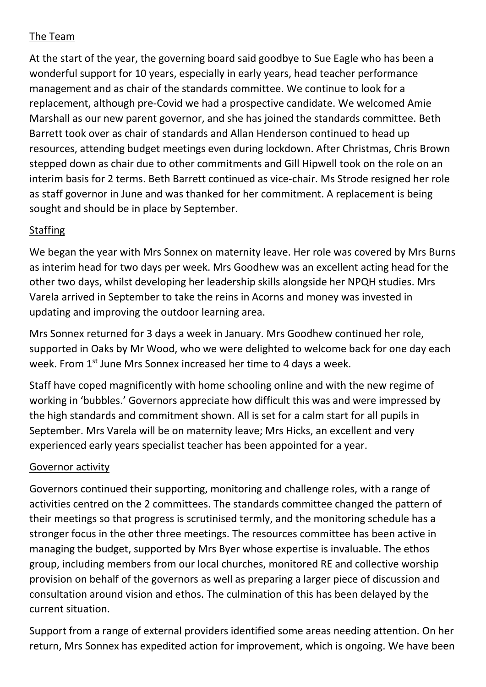## The Team

At the start of the year, the governing board said goodbye to Sue Eagle who has been a wonderful support for 10 years, especially in early years, head teacher performance management and as chair of the standards committee. We continue to look for a replacement, although pre-Covid we had a prospective candidate. We welcomed Amie Marshall as our new parent governor, and she has joined the standards committee. Beth Barrett took over as chair of standards and Allan Henderson continued to head up resources, attending budget meetings even during lockdown. After Christmas, Chris Brown stepped down as chair due to other commitments and Gill Hipwell took on the role on an interim basis for 2 terms. Beth Barrett continued as vice-chair. Ms Strode resigned her role as staff governor in June and was thanked for her commitment. A replacement is being sought and should be in place by September.

## **Staffing**

We began the year with Mrs Sonnex on maternity leave. Her role was covered by Mrs Burns as interim head for two days per week. Mrs Goodhew was an excellent acting head for the other two days, whilst developing her leadership skills alongside her NPQH studies. Mrs Varela arrived in September to take the reins in Acorns and money was invested in updating and improving the outdoor learning area.

Mrs Sonnex returned for 3 days a week in January. Mrs Goodhew continued her role, supported in Oaks by Mr Wood, who we were delighted to welcome back for one day each week. From 1<sup>st</sup> June Mrs Sonnex increased her time to 4 days a week.

Staff have coped magnificently with home schooling online and with the new regime of working in 'bubbles.' Governors appreciate how difficult this was and were impressed by the high standards and commitment shown. All is set for a calm start for all pupils in September. Mrs Varela will be on maternity leave; Mrs Hicks, an excellent and very experienced early years specialist teacher has been appointed for a year.

## Governor activity

Governors continued their supporting, monitoring and challenge roles, with a range of activities centred on the 2 committees. The standards committee changed the pattern of their meetings so that progress is scrutinised termly, and the monitoring schedule has a stronger focus in the other three meetings. The resources committee has been active in managing the budget, supported by Mrs Byer whose expertise is invaluable. The ethos group, including members from our local churches, monitored RE and collective worship provision on behalf of the governors as well as preparing a larger piece of discussion and consultation around vision and ethos. The culmination of this has been delayed by the current situation.

Support from a range of external providers identified some areas needing attention. On her return, Mrs Sonnex has expedited action for improvement, which is ongoing. We have been